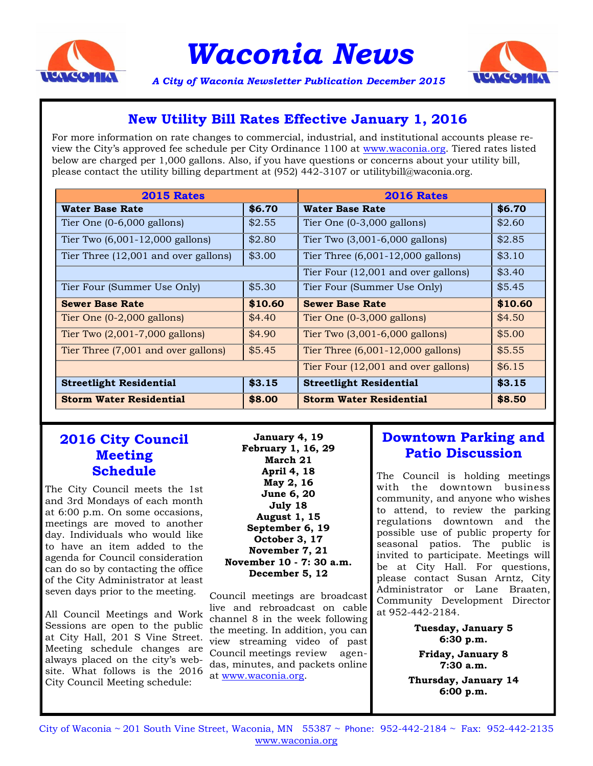

*Waconia News*



*A City of Waconia Newsletter Publication December 2015*

## **New Utility Bill Rates Effective January 1, 2016**

For more information on rate changes to commercial, industrial, and institutional accounts please review the City's approved fee schedule per City Ordinance 1100 at www.waconia.org. Tiered rates listed below are charged per 1,000 gallons. Also, if you have questions or concerns about your utility bill, please contact the utility billing department at (952) 442-3107 or utilitybill@waconia.org.

| <b>2015 Rates</b>                    |         | <b>2016 Rates</b>                   |         |
|--------------------------------------|---------|-------------------------------------|---------|
| <b>Water Base Rate</b>               | \$6.70  | <b>Water Base Rate</b>              | \$6.70  |
| Tier One $(0-6,000)$ gallons)        | \$2.55  | Tier One $(0-3,000)$ gallons)       | \$2.60  |
| Tier Two $(6,001-12,000$ gallons)    | \$2.80  | Tier Two (3,001-6,000 gallons)      | \$2.85  |
| Tier Three (12,001 and over gallons) | \$3.00  | Tier Three $(6,001-12,000$ gallons) | \$3.10  |
|                                      |         | Tier Four (12,001 and over gallons) | \$3.40  |
| Tier Four (Summer Use Only)          | \$5.30  | Tier Four (Summer Use Only)         | \$5.45  |
| <b>Sewer Base Rate</b>               | \$10.60 | <b>Sewer Base Rate</b>              | \$10.60 |
| Tier One $(0-2,000)$ gallons)        | \$4.40  | Tier One $(0-3,000)$ gallons)       | \$4.50  |
| Tier Two $(2,001-7,000)$ gallons)    | \$4.90  | Tier Two $(3,001-6,000)$ gallons)   | \$5.00  |
| Tier Three (7,001 and over gallons)  | \$5.45  | Tier Three $(6,001-12,000$ gallons) | \$5.55  |
|                                      |         | Tier Four (12,001 and over gallons) | \$6.15  |
| <b>Streetlight Residential</b>       | \$3.15  | <b>Streetlight Residential</b>      | \$3.15  |
| <b>Storm Water Residential</b>       | \$8.00  | <b>Storm Water Residential</b>      | \$8.50  |

### **2016 City Council Meeting Schedule**

The City Council meets the 1st and 3rd Mondays of each month at 6:00 p.m. On some occasions, meetings are moved to another day. Individuals who would like to have an item added to the agenda for Council consideration can do so by contacting the office of the City Administrator at least seven days prior to the meeting.

All Council Meetings and Work Sessions are open to the public at City Hall, 201 S Vine Street. Meeting schedule changes are always placed on the city's website. What follows is the 2016 City Council Meeting schedule:

**January 4, 19 February 1, 16, 29 March 21 April 4, 18 May 2, 16 June 6, 20 July 18 August 1, 15 September 6, 19 October 3, 17 November 7, 21 November 10 - 7: 30 a.m. December 5, 12**

Council meetings are broadcast live and rebroadcast on cable channel 8 in the week following the meeting. In addition, you can view streaming video of past Council meetings review agendas, minutes, and packets online at [www.waconia.org.](http://www.waconia.org/index.asp?Type=B_BASIC&SEC=%7bD22FAD49-A80F-474A-8A46-6648CB54780C%7d)

## **Downtown Parking and Patio Discussion**

The Council is holding meetings with the downtown business community, and anyone who wishes to attend, to review the parking regulations downtown and the possible use of public property for seasonal patios. The public is invited to participate. Meetings will be at City Hall. For questions, please contact Susan Arntz, City Administrator or Lane Braaten, Community Development Director at 952-442-2184.

> **Tuesday, January 5 6:30 p.m. Friday, January 8 7:30 a.m.**

**Thursday, January 14 6:00 p.m.**